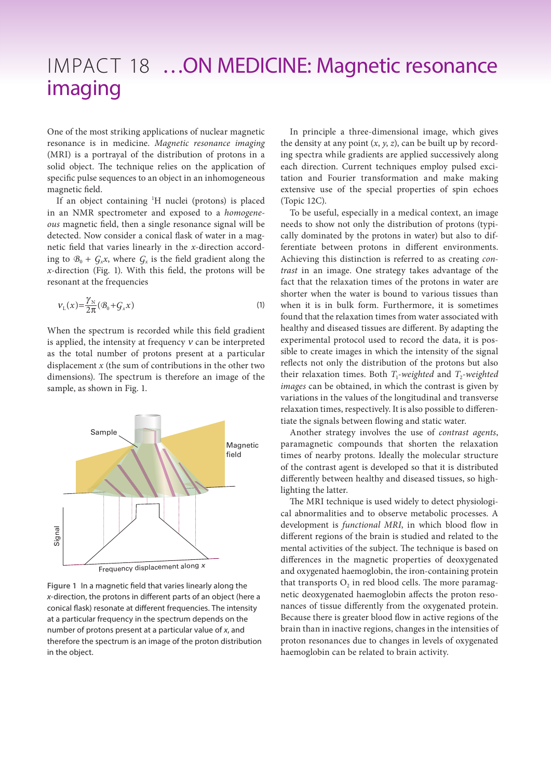## IMPACT 18 ... ON MEDICINE: Magnetic resonance imaging

One of the most striking applications of nuclear magnetic resonance is in medicine. *Magnetic resonance imaging*  (MRI) is a portrayal of the distribution of protons in a solid object. The technique relies on the application of specific pulse sequences to an object in an inhomogeneous magnetic field.

If an object containing <sup>1</sup>H nuclei (protons) is placed in an NMR spectrometer and exposed to a *homogeneous* magnetic field, then a single resonance signal will be detected. Now consider a conical flask of water in a magnetic field that varies linearly in the *x*-direction according to  $B_0 + G_x x$ , where  $G_x$  is the field gradient along the *x*-direction (Fig. 1). With this field, the protons will be resonant at the frequencies

$$
V_{\rm L}(x) = \frac{\gamma_{\rm N}}{2\pi} (\mathcal{B}_0 + \mathcal{G}_x x) \tag{1}
$$

When the spectrum is recorded while this field gradient is applied, the intensity at frequency  $v$  can be interpreted as the total number of protons present at a particular displacement *x* (the sum of contributions in the other two dimensions). The spectrum is therefore an image of the sample, as shown in Fig. 1.



**Figure 1** In a magnetic field that varies linearly along the *x*-direction, the protons in different parts of an object (here a conical flask) resonate at different frequencies. The intensity at a particular frequency in the spectrum depends on the number of protons present at a particular value of *x*, and therefore the spectrum is an image of the proton distribution in the object.

In principle a three-dimensional image, which gives the density at any point (*x*, *y*, *z*), can be built up by recording spectra while gradients are applied successively along each direction. Current techniques employ pulsed excitation and Fourier transformation and make making extensive use of the special properties of spin echoes (Topic 12C).

To be useful, especially in a medical context, an image needs to show not only the distribution of protons (typically dominated by the protons in water) but also to differentiate between protons in different environments. Achieving this distinction is referred to as creating *contrast* in an image. One strategy takes advantage of the fact that the relaxation times of the protons in water are shorter when the water is bound to various tissues than when it is in bulk form. Furthermore, it is sometimes found that the relaxation times from water associated with healthy and diseased tissues are different. By adapting the experimental protocol used to record the data, it is possible to create images in which the intensity of the signal reflects not only the distribution of the protons but also their relaxation times. Both  $T_1$ -weighted and  $T_2$ -weighted *images* can be obtained, in which the contrast is given by variations in the values of the longitudinal and transverse relaxation times, respectively. It is also possible to differentiate the signals between flowing and static water.

Another strategy involves the use of *contrast agents*, paramagnetic compounds that shorten the relaxation times of nearby protons. Ideally the molecular structure of the contrast agent is developed so that it is distributed differently between healthy and diseased tissues, so highlighting the latter.

The MRI technique is used widely to detect physiological abnormalities and to observe metabolic processes. A development is *functional MRI*, in which blood flow in different regions of the brain is studied and related to the mental activities of the subject. The technique is based on differences in the magnetic properties of deoxygenated and oxygenated haemoglobin, the iron-containing protein that transports  $O<sub>2</sub>$  in red blood cells. The more paramagnetic deoxygenated haemoglobin affects the proton resonances of tissue differently from the oxygenated protein. Because there is greater blood flow in active regions of the brain than in inactive regions, changes in the intensities of proton resonances due to changes in levels of oxygenated haemoglobin can be related to brain activity.